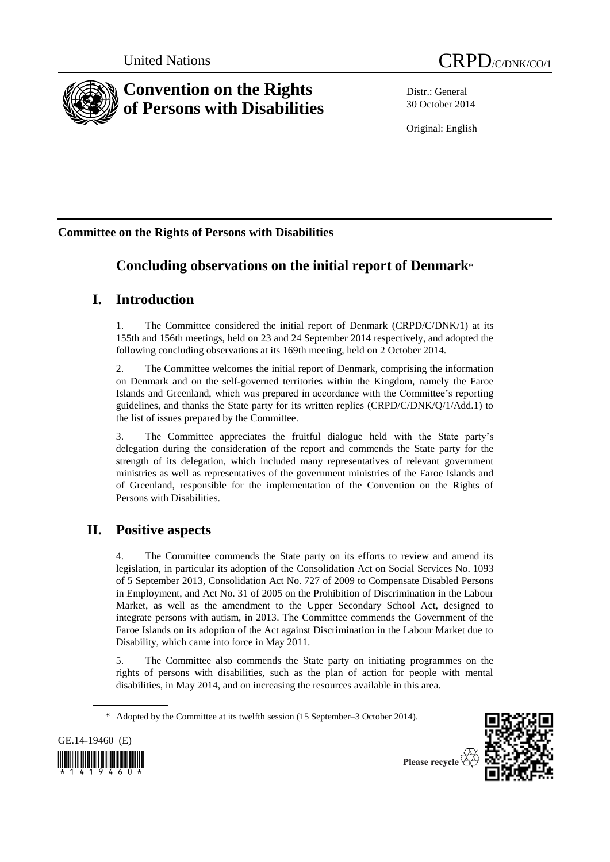

Distr.: General 30 October 2014

Original: English

# **Committee on the Rights of Persons with Disabilities**

# **Concluding observations on the initial report of Denmark**\*

# **I. Introduction**

1. The Committee considered the initial report of Denmark (CRPD/C/DNK/1) at its 155th and 156th meetings, held on 23 and 24 September 2014 respectively, and adopted the following concluding observations at its 169th meeting, held on 2 October 2014.

2. The Committee welcomes the initial report of Denmark, comprising the information on Denmark and on the self-governed territories within the Kingdom, namely the Faroe Islands and Greenland, which was prepared in accordance with the Committee's reporting guidelines, and thanks the State party for its written replies (CRPD/C/DNK/Q/1/Add.1) to the list of issues prepared by the Committee.

3. The Committee appreciates the fruitful dialogue held with the State party's delegation during the consideration of the report and commends the State party for the strength of its delegation, which included many representatives of relevant government ministries as well as representatives of the government ministries of the Faroe Islands and of Greenland, responsible for the implementation of the Convention on the Rights of Persons with Disabilities.

# **II. Positive aspects**

4. The Committee commends the State party on its efforts to review and amend its legislation, in particular its adoption of the Consolidation Act on Social Services No. 1093 of 5 September 2013, Consolidation Act No. 727 of 2009 to Compensate Disabled Persons in Employment, and Act No. 31 of 2005 on the Prohibition of Discrimination in the Labour Market, as well as the amendment to the Upper Secondary School Act, designed to integrate persons with autism, in 2013. The Committee commends the Government of the Faroe Islands on its adoption of the Act against Discrimination in the Labour Market due to Disability, which came into force in May 2011.

5. The Committee also commends the State party on initiating programmes on the rights of persons with disabilities, such as the plan of action for people with mental disabilities, in May 2014, and on increasing the resources available in this area.

<sup>\*</sup> Adopted by the Committee at its twelfth session (15 September–3 October 2014).



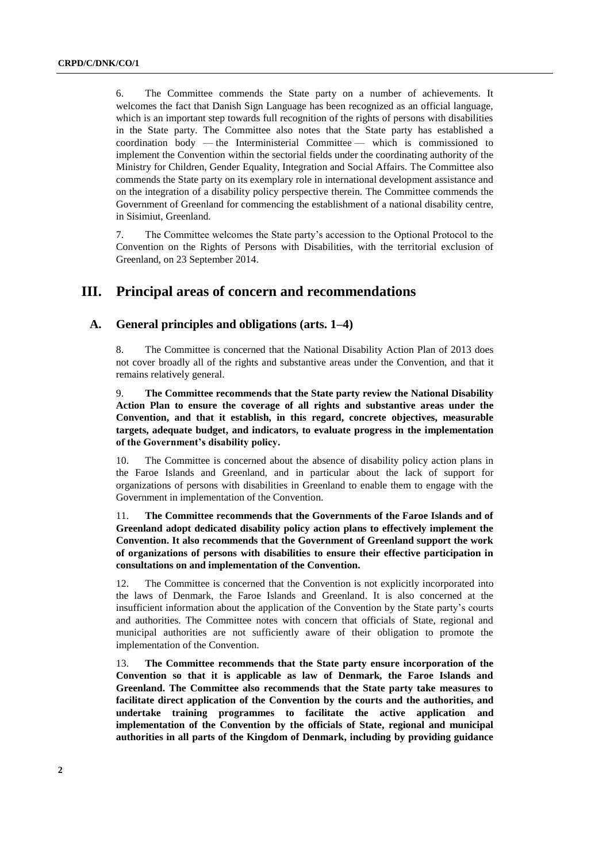6. The Committee commends the State party on a number of achievements. It welcomes the fact that Danish Sign Language has been recognized as an official language, which is an important step towards full recognition of the rights of persons with disabilities in the State party. The Committee also notes that the State party has established a coordination body — the Interministerial Committee — which is commissioned to implement the Convention within the sectorial fields under the coordinating authority of the Ministry for Children, Gender Equality, Integration and Social Affairs. The Committee also commends the State party on its exemplary role in international development assistance and on the integration of a disability policy perspective therein. The Committee commends the Government of Greenland for commencing the establishment of a national disability centre, in Sisimiut, Greenland.

7. The Committee welcomes the State party's accession to the Optional Protocol to the Convention on the Rights of Persons with Disabilities, with the territorial exclusion of Greenland, on 23 September 2014.

# **III. Principal areas of concern and recommendations**

# **A. General principles and obligations (arts. 1–4)**

8. The Committee is concerned that the National Disability Action Plan of 2013 does not cover broadly all of the rights and substantive areas under the Convention, and that it remains relatively general.

9. **The Committee recommends that the State party review the National Disability Action Plan to ensure the coverage of all rights and substantive areas under the Convention, and that it establish, in this regard, concrete objectives, measurable targets, adequate budget, and indicators, to evaluate progress in the implementation of the Government's disability policy.** 

10. The Committee is concerned about the absence of disability policy action plans in the Faroe Islands and Greenland, and in particular about the lack of support for organizations of persons with disabilities in Greenland to enable them to engage with the Government in implementation of the Convention.

11. **The Committee recommends that the Governments of the Faroe Islands and of Greenland adopt dedicated disability policy action plans to effectively implement the Convention. It also recommends that the Government of Greenland support the work of organizations of persons with disabilities to ensure their effective participation in consultations on and implementation of the Convention.**

12. The Committee is concerned that the Convention is not explicitly incorporated into the laws of Denmark, the Faroe Islands and Greenland. It is also concerned at the insufficient information about the application of the Convention by the State party's courts and authorities. The Committee notes with concern that officials of State, regional and municipal authorities are not sufficiently aware of their obligation to promote the implementation of the Convention.

13. **The Committee recommends that the State party ensure incorporation of the Convention so that it is applicable as law of Denmark, the Faroe Islands and Greenland. The Committee also recommends that the State party take measures to facilitate direct application of the Convention by the courts and the authorities, and undertake training programmes to facilitate the active application and implementation of the Convention by the officials of State, regional and municipal authorities in all parts of the Kingdom of Denmark, including by providing guidance**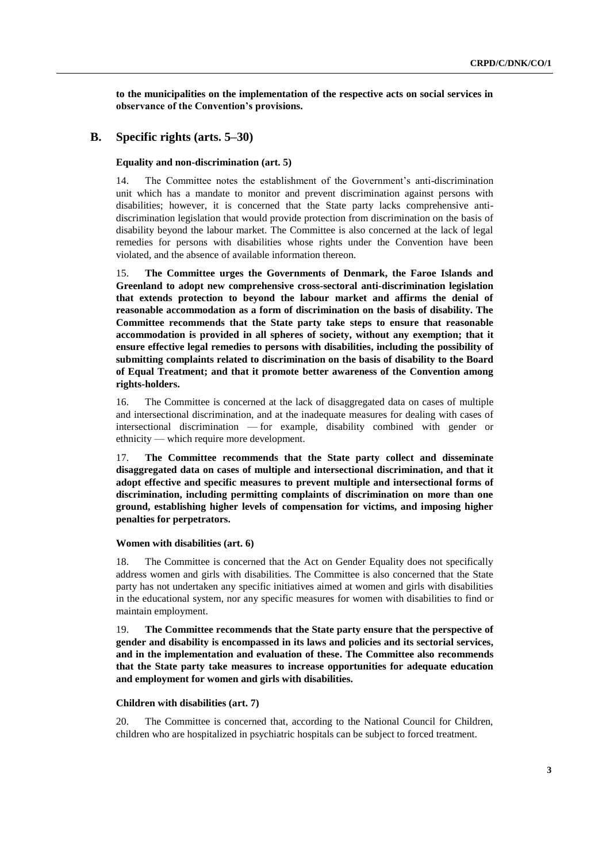**to the municipalities on the implementation of the respective acts on social services in observance of the Convention's provisions.**

## **B. Specific rights (arts. 5–30)**

#### **Equality and non-discrimination (art. 5)**

14. The Committee notes the establishment of the Government's anti-discrimination unit which has a mandate to monitor and prevent discrimination against persons with disabilities; however, it is concerned that the State party lacks comprehensive antidiscrimination legislation that would provide protection from discrimination on the basis of disability beyond the labour market. The Committee is also concerned at the lack of legal remedies for persons with disabilities whose rights under the Convention have been violated, and the absence of available information thereon.

15. **The Committee urges the Governments of Denmark, the Faroe Islands and Greenland to adopt new comprehensive cross-sectoral anti-discrimination legislation that extends protection to beyond the labour market and affirms the denial of reasonable accommodation as a form of discrimination on the basis of disability. The Committee recommends that the State party take steps to ensure that reasonable accommodation is provided in all spheres of society, without any exemption; that it ensure effective legal remedies to persons with disabilities, including the possibility of submitting complaints related to discrimination on the basis of disability to the Board of Equal Treatment; and that it promote better awareness of the Convention among rights-holders.**

16. The Committee is concerned at the lack of disaggregated data on cases of multiple and intersectional discrimination, and at the inadequate measures for dealing with cases of intersectional discrimination — for example, disability combined with gender or ethnicity — which require more development.

17. **The Committee recommends that the State party collect and disseminate disaggregated data on cases of multiple and intersectional discrimination, and that it adopt effective and specific measures to prevent multiple and intersectional forms of discrimination, including permitting complaints of discrimination on more than one ground, establishing higher levels of compensation for victims, and imposing higher penalties for perpetrators.**

### **Women with disabilities (art. 6)**

18. The Committee is concerned that the Act on Gender Equality does not specifically address women and girls with disabilities. The Committee is also concerned that the State party has not undertaken any specific initiatives aimed at women and girls with disabilities in the educational system, nor any specific measures for women with disabilities to find or maintain employment.

19. **The Committee recommends that the State party ensure that the perspective of gender and disability is encompassed in its laws and policies and its sectorial services, and in the implementation and evaluation of these. The Committee also recommends that the State party take measures to increase opportunities for adequate education and employment for women and girls with disabilities.**

#### **Children with disabilities (art. 7)**

20. The Committee is concerned that, according to the National Council for Children, children who are hospitalized in psychiatric hospitals can be subject to forced treatment.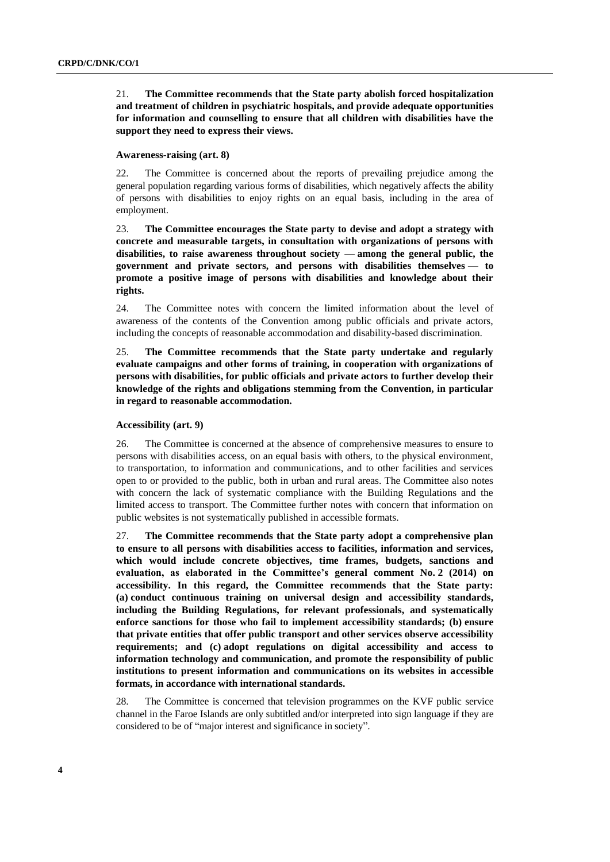# 21. **The Committee recommends that the State party abolish forced hospitalization and treatment of children in psychiatric hospitals, and provide adequate opportunities for information and counselling to ensure that all children with disabilities have the support they need to express their views.**

#### **Awareness-raising (art. 8)**

22. The Committee is concerned about the reports of prevailing prejudice among the general population regarding various forms of disabilities, which negatively affects the ability of persons with disabilities to enjoy rights on an equal basis, including in the area of employment.

23. **The Committee encourages the State party to devise and adopt a strategy with concrete and measurable targets, in consultation with organizations of persons with disabilities, to raise awareness throughout society — among the general public, the government and private sectors, and persons with disabilities themselves — to promote a positive image of persons with disabilities and knowledge about their rights.**

24. The Committee notes with concern the limited information about the level of awareness of the contents of the Convention among public officials and private actors, including the concepts of reasonable accommodation and disability-based discrimination.

25. **The Committee recommends that the State party undertake and regularly evaluate campaigns and other forms of training, in cooperation with organizations of persons with disabilities, for public officials and private actors to further develop their knowledge of the rights and obligations stemming from the Convention, in particular in regard to reasonable accommodation.**

#### **Accessibility (art. 9)**

26. The Committee is concerned at the absence of comprehensive measures to ensure to persons with disabilities access, on an equal basis with others, to the physical environment, to transportation, to information and communications, and to other facilities and services open to or provided to the public, both in urban and rural areas. The Committee also notes with concern the lack of systematic compliance with the Building Regulations and the limited access to transport. The Committee further notes with concern that information on public websites is not systematically published in accessible formats.

27. **The Committee recommends that the State party adopt a comprehensive plan to ensure to all persons with disabilities access to facilities, information and services, which would include concrete objectives, time frames, budgets, sanctions and evaluation, as elaborated in the Committee's general comment No. 2 (2014) on accessibility. In this regard, the Committee recommends that the State party: (a) conduct continuous training on universal design and accessibility standards, including the Building Regulations, for relevant professionals, and systematically enforce sanctions for those who fail to implement accessibility standards; (b) ensure that private entities that offer public transport and other services observe accessibility requirements; and (c) adopt regulations on digital accessibility and access to information technology and communication, and promote the responsibility of public institutions to present information and communications on its websites in accessible formats, in accordance with international standards.**

28. The Committee is concerned that television programmes on the KVF public service channel in the Faroe Islands are only subtitled and/or interpreted into sign language if they are considered to be of "major interest and significance in society".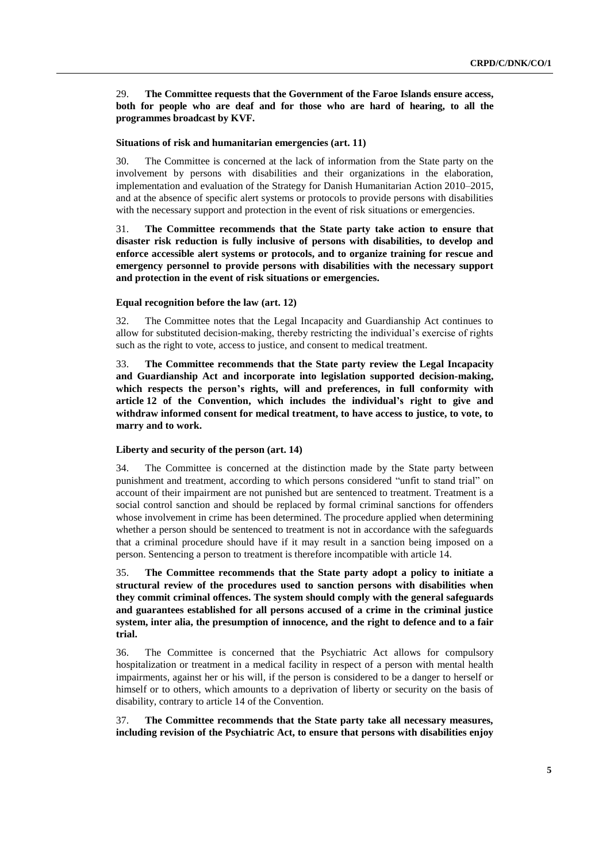29. **The Committee requests that the Government of the Faroe Islands ensure access, both for people who are deaf and for those who are hard of hearing, to all the programmes broadcast by KVF.**

#### **Situations of risk and humanitarian emergencies (art. 11)**

30. The Committee is concerned at the lack of information from the State party on the involvement by persons with disabilities and their organizations in the elaboration, implementation and evaluation of the Strategy for Danish Humanitarian Action 2010–2015, and at the absence of specific alert systems or protocols to provide persons with disabilities with the necessary support and protection in the event of risk situations or emergencies.

31. **The Committee recommends that the State party take action to ensure that disaster risk reduction is fully inclusive of persons with disabilities, to develop and enforce accessible alert systems or protocols, and to organize training for rescue and emergency personnel to provide persons with disabilities with the necessary support and protection in the event of risk situations or emergencies.**

#### **Equal recognition before the law (art. 12)**

32. The Committee notes that the Legal Incapacity and Guardianship Act continues to allow for substituted decision-making, thereby restricting the individual's exercise of rights such as the right to vote, access to justice, and consent to medical treatment.

33. **The Committee recommends that the State party review the Legal Incapacity and Guardianship Act and incorporate into legislation supported decision-making, which respects the person's rights, will and preferences, in full conformity with article 12 of the Convention, which includes the individual's right to give and withdraw informed consent for medical treatment, to have access to justice, to vote, to marry and to work.**

#### **Liberty and security of the person (art. 14)**

34. The Committee is concerned at the distinction made by the State party between punishment and treatment, according to which persons considered "unfit to stand trial" on account of their impairment are not punished but are sentenced to treatment. Treatment is a social control sanction and should be replaced by formal criminal sanctions for offenders whose involvement in crime has been determined. The procedure applied when determining whether a person should be sentenced to treatment is not in accordance with the safeguards that a criminal procedure should have if it may result in a sanction being imposed on a person. Sentencing a person to treatment is therefore incompatible with article 14.

35. **The Committee recommends that the State party adopt a policy to initiate a structural review of the procedures used to sanction persons with disabilities when they commit criminal offences. The system should comply with the general safeguards and guarantees established for all persons accused of a crime in the criminal justice system, inter alia, the presumption of innocence, and the right to defence and to a fair trial.**

36. The Committee is concerned that the Psychiatric Act allows for compulsory hospitalization or treatment in a medical facility in respect of a person with mental health impairments, against her or his will, if the person is considered to be a danger to herself or himself or to others, which amounts to a deprivation of liberty or security on the basis of disability, contrary to article 14 of the Convention.

37. **The Committee recommends that the State party take all necessary measures, including revision of the Psychiatric Act, to ensure that persons with disabilities enjoy**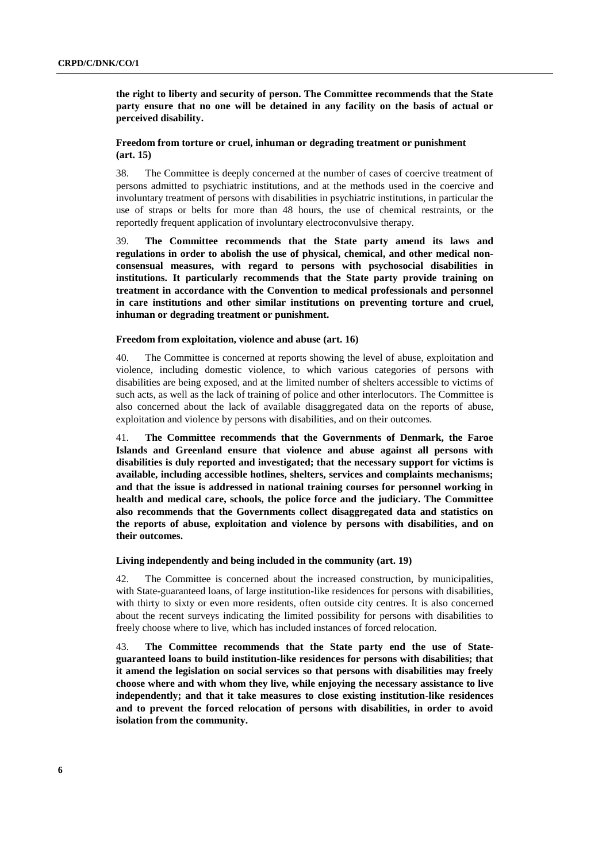**the right to liberty and security of person. The Committee recommends that the State party ensure that no one will be detained in any facility on the basis of actual or perceived disability.** 

# **Freedom from torture or cruel, inhuman or degrading treatment or punishment (art. 15)**

38. The Committee is deeply concerned at the number of cases of coercive treatment of persons admitted to psychiatric institutions, and at the methods used in the coercive and involuntary treatment of persons with disabilities in psychiatric institutions, in particular the use of straps or belts for more than 48 hours, the use of chemical restraints, or the reportedly frequent application of involuntary electroconvulsive therapy.

39. **The Committee recommends that the State party amend its laws and regulations in order to abolish the use of physical, chemical, and other medical nonconsensual measures, with regard to persons with psychosocial disabilities in institutions. It particularly recommends that the State party provide training on treatment in accordance with the Convention to medical professionals and personnel in care institutions and other similar institutions on preventing torture and cruel, inhuman or degrading treatment or punishment.**

#### **Freedom from exploitation, violence and abuse (art. 16)**

40. The Committee is concerned at reports showing the level of abuse, exploitation and violence, including domestic violence, to which various categories of persons with disabilities are being exposed, and at the limited number of shelters accessible to victims of such acts, as well as the lack of training of police and other interlocutors. The Committee is also concerned about the lack of available disaggregated data on the reports of abuse, exploitation and violence by persons with disabilities, and on their outcomes.

41. **The Committee recommends that the Governments of Denmark, the Faroe Islands and Greenland ensure that violence and abuse against all persons with disabilities is duly reported and investigated; that the necessary support for victims is available, including accessible hotlines, shelters, services and complaints mechanisms; and that the issue is addressed in national training courses for personnel working in health and medical care, schools, the police force and the judiciary. The Committee also recommends that the Governments collect disaggregated data and statistics on the reports of abuse, exploitation and violence by persons with disabilities, and on their outcomes.** 

**Living independently and being included in the community (art. 19)**

42. The Committee is concerned about the increased construction, by municipalities, with State-guaranteed loans, of large institution-like residences for persons with disabilities, with thirty to sixty or even more residents, often outside city centres. It is also concerned about the recent surveys indicating the limited possibility for persons with disabilities to freely choose where to live, which has included instances of forced relocation.

43. **The Committee recommends that the State party end the use of Stateguaranteed loans to build institution-like residences for persons with disabilities; that it amend the legislation on social services so that persons with disabilities may freely choose where and with whom they live, while enjoying the necessary assistance to live independently; and that it take measures to close existing institution-like residences and to prevent the forced relocation of persons with disabilities, in order to avoid isolation from the community.**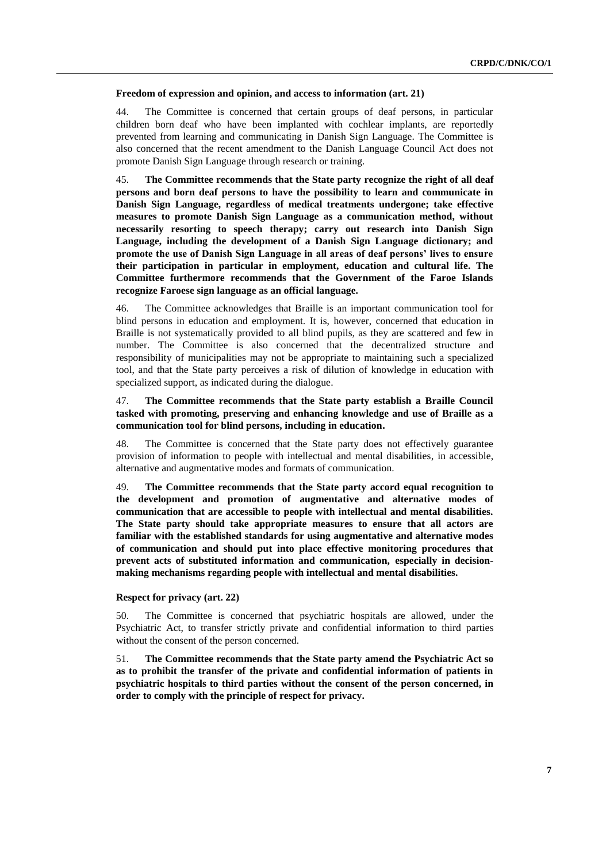#### **Freedom of expression and opinion, and access to information (art. 21)**

44. The Committee is concerned that certain groups of deaf persons, in particular children born deaf who have been implanted with cochlear implants, are reportedly prevented from learning and communicating in Danish Sign Language. The Committee is also concerned that the recent amendment to the Danish Language Council Act does not promote Danish Sign Language through research or training.

45. **The Committee recommends that the State party recognize the right of all deaf persons and born deaf persons to have the possibility to learn and communicate in Danish Sign Language, regardless of medical treatments undergone; take effective measures to promote Danish Sign Language as a communication method, without necessarily resorting to speech therapy; carry out research into Danish Sign Language, including the development of a Danish Sign Language dictionary; and promote the use of Danish Sign Language in all areas of deaf persons' lives to ensure their participation in particular in employment, education and cultural life. The Committee furthermore recommends that the Government of the Faroe Islands recognize Faroese sign language as an official language.** 

46. The Committee acknowledges that Braille is an important communication tool for blind persons in education and employment. It is, however, concerned that education in Braille is not systematically provided to all blind pupils, as they are scattered and few in number. The Committee is also concerned that the decentralized structure and responsibility of municipalities may not be appropriate to maintaining such a specialized tool, and that the State party perceives a risk of dilution of knowledge in education with specialized support, as indicated during the dialogue.

# 47. **The Committee recommends that the State party establish a Braille Council tasked with promoting, preserving and enhancing knowledge and use of Braille as a communication tool for blind persons, including in education.**

48. The Committee is concerned that the State party does not effectively guarantee provision of information to people with intellectual and mental disabilities, in accessible, alternative and augmentative modes and formats of communication.

49. **The Committee recommends that the State party accord equal recognition to the development and promotion of augmentative and alternative modes of communication that are accessible to people with intellectual and mental disabilities. The State party should take appropriate measures to ensure that all actors are familiar with the established standards for using augmentative and alternative modes of communication and should put into place effective monitoring procedures that prevent acts of substituted information and communication, especially in decisionmaking mechanisms regarding people with intellectual and mental disabilities.**

## **Respect for privacy (art. 22)**

50. The Committee is concerned that psychiatric hospitals are allowed, under the Psychiatric Act, to transfer strictly private and confidential information to third parties without the consent of the person concerned.

51. **The Committee recommends that the State party amend the Psychiatric Act so as to prohibit the transfer of the private and confidential information of patients in psychiatric hospitals to third parties without the consent of the person concerned, in order to comply with the principle of respect for privacy.**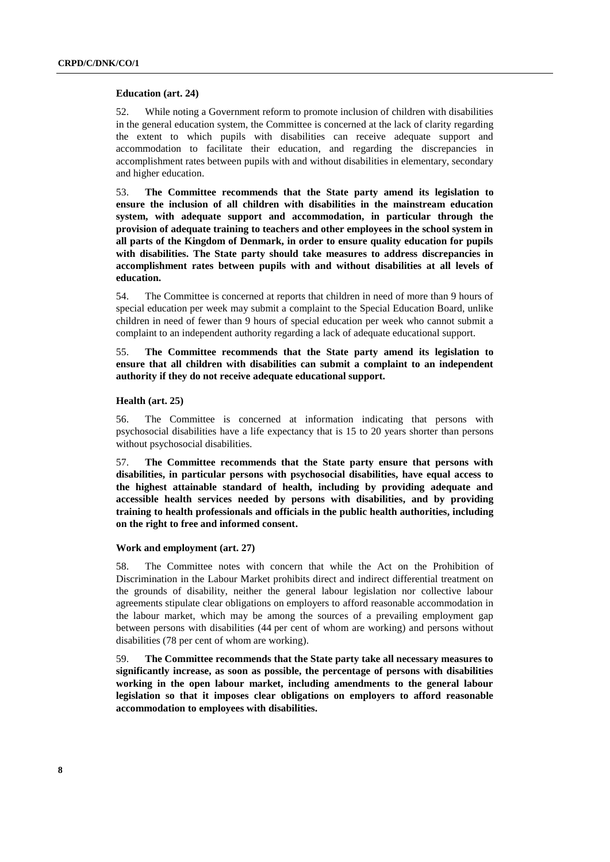#### **Education (art. 24)**

52. While noting a Government reform to promote inclusion of children with disabilities in the general education system, the Committee is concerned at the lack of clarity regarding the extent to which pupils with disabilities can receive adequate support and accommodation to facilitate their education, and regarding the discrepancies in accomplishment rates between pupils with and without disabilities in elementary, secondary and higher education.

53. **The Committee recommends that the State party amend its legislation to ensure the inclusion of all children with disabilities in the mainstream education system, with adequate support and accommodation, in particular through the provision of adequate training to teachers and other employees in the school system in all parts of the Kingdom of Denmark, in order to ensure quality education for pupils with disabilities. The State party should take measures to address discrepancies in accomplishment rates between pupils with and without disabilities at all levels of education.**

54. The Committee is concerned at reports that children in need of more than 9 hours of special education per week may submit a complaint to the Special Education Board, unlike children in need of fewer than 9 hours of special education per week who cannot submit a complaint to an independent authority regarding a lack of adequate educational support.

55. **The Committee recommends that the State party amend its legislation to ensure that all children with disabilities can submit a complaint to an independent authority if they do not receive adequate educational support.**

### **Health (art. 25)**

56. The Committee is concerned at information indicating that persons with psychosocial disabilities have a life expectancy that is 15 to 20 years shorter than persons without psychosocial disabilities.

57. **The Committee recommends that the State party ensure that persons with disabilities, in particular persons with psychosocial disabilities, have equal access to the highest attainable standard of health, including by providing adequate and accessible health services needed by persons with disabilities, and by providing training to health professionals and officials in the public health authorities, including on the right to free and informed consent.**

#### **Work and employment (art. 27)**

58. The Committee notes with concern that while the Act on the Prohibition of Discrimination in the Labour Market prohibits direct and indirect differential treatment on the grounds of disability, neither the general labour legislation nor collective labour agreements stipulate clear obligations on employers to afford reasonable accommodation in the labour market, which may be among the sources of a prevailing employment gap between persons with disabilities (44 per cent of whom are working) and persons without disabilities (78 per cent of whom are working).

59. **The Committee recommends that the State party take all necessary measures to significantly increase, as soon as possible, the percentage of persons with disabilities working in the open labour market, including amendments to the general labour legislation so that it imposes clear obligations on employers to afford reasonable accommodation to employees with disabilities.**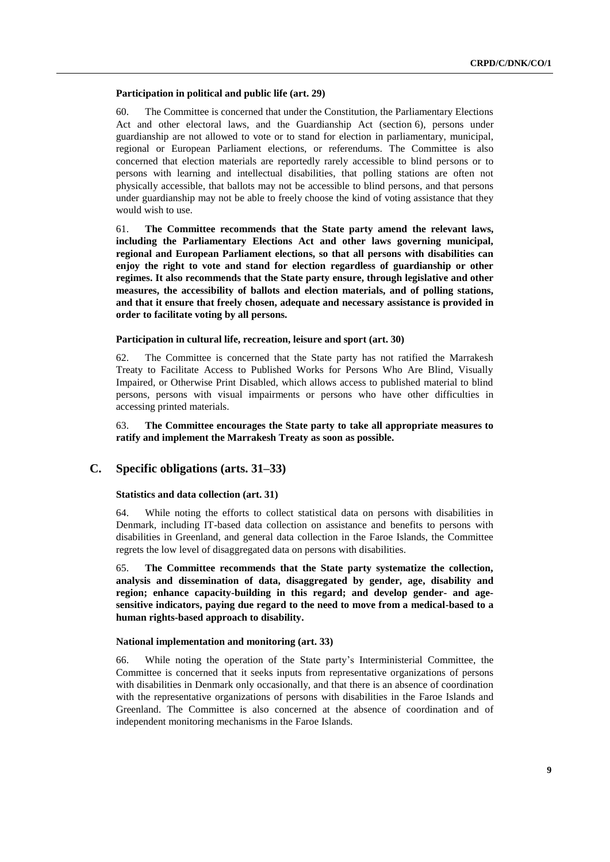#### **Participation in political and public life (art. 29)**

60. The Committee is concerned that under the Constitution, the Parliamentary Elections Act and other electoral laws, and the Guardianship Act (section 6), persons under guardianship are not allowed to vote or to stand for election in parliamentary, municipal, regional or European Parliament elections, or referendums. The Committee is also concerned that election materials are reportedly rarely accessible to blind persons or to persons with learning and intellectual disabilities, that polling stations are often not physically accessible, that ballots may not be accessible to blind persons, and that persons under guardianship may not be able to freely choose the kind of voting assistance that they would wish to use.

61. **The Committee recommends that the State party amend the relevant laws, including the Parliamentary Elections Act and other laws governing municipal, regional and European Parliament elections, so that all persons with disabilities can enjoy the right to vote and stand for election regardless of guardianship or other regimes. It also recommends that the State party ensure, through legislative and other measures, the accessibility of ballots and election materials, and of polling stations, and that it ensure that freely chosen, adequate and necessary assistance is provided in order to facilitate voting by all persons.** 

#### **Participation in cultural life, recreation, leisure and sport (art. 30)**

62. The Committee is concerned that the State party has not ratified the Marrakesh Treaty to Facilitate Access to Published Works for Persons Who Are Blind, Visually Impaired, or Otherwise Print Disabled, which allows access to published material to blind persons, persons with visual impairments or persons who have other difficulties in accessing printed materials.

63. **The Committee encourages the State party to take all appropriate measures to ratify and implement the Marrakesh Treaty as soon as possible.**

# **C. Specific obligations (arts. 31–33)**

#### **Statistics and data collection (art. 31)**

64. While noting the efforts to collect statistical data on persons with disabilities in Denmark, including IT-based data collection on assistance and benefits to persons with disabilities in Greenland, and general data collection in the Faroe Islands, the Committee regrets the low level of disaggregated data on persons with disabilities.

65. **The Committee recommends that the State party systematize the collection, analysis and dissemination of data, disaggregated by gender, age, disability and region; enhance capacity-building in this regard; and develop gender- and agesensitive indicators, paying due regard to the need to move from a medical-based to a human rights-based approach to disability.** 

#### **National implementation and monitoring (art. 33)**

66. While noting the operation of the State party's Interministerial Committee, the Committee is concerned that it seeks inputs from representative organizations of persons with disabilities in Denmark only occasionally, and that there is an absence of coordination with the representative organizations of persons with disabilities in the Faroe Islands and Greenland. The Committee is also concerned at the absence of coordination and of independent monitoring mechanisms in the Faroe Islands.